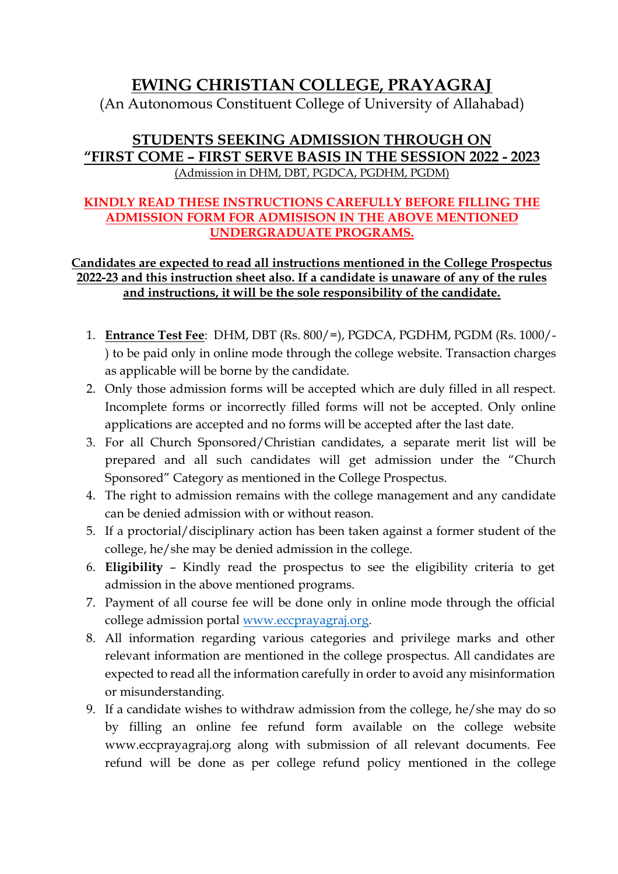## **EWING CHRISTIAN COLLEGE, PRAYAGRAJ**

(An Autonomous Constituent College of University of Allahabad)

## **STUDENTS SEEKING ADMISSION THROUGH ON "FIRST COME – FIRST SERVE BASIS IN THE SESSION 2022 - 2023** (Admission in DHM, DBT, PGDCA, PGDHM, PGDM)

## **KINDLY READ THESE INSTRUCTIONS CAREFULLY BEFORE FILLING THE ADMISSION FORM FOR ADMISISON IN THE ABOVE MENTIONED UNDERGRADUATE PROGRAMS.**

## **Candidates are expected to read all instructions mentioned in the College Prospectus 2022-23 and this instruction sheet also. If a candidate is unaware of any of the rules and instructions, it will be the sole responsibility of the candidate.**

- 1. **Entrance Test Fee**: DHM, DBT (Rs. 800/=), PGDCA, PGDHM, PGDM (Rs. 1000/- ) to be paid only in online mode through the college website. Transaction charges as applicable will be borne by the candidate.
- 2. Only those admission forms will be accepted which are duly filled in all respect. Incomplete forms or incorrectly filled forms will not be accepted. Only online applications are accepted and no forms will be accepted after the last date.
- 3. For all Church Sponsored/Christian candidates, a separate merit list will be prepared and all such candidates will get admission under the "Church Sponsored" Category as mentioned in the College Prospectus.
- 4. The right to admission remains with the college management and any candidate can be denied admission with or without reason.
- 5. If a proctorial/disciplinary action has been taken against a former student of the college, he/she may be denied admission in the college.
- 6. **Eligibility** Kindly read the prospectus to see the eligibility criteria to get admission in the above mentioned programs.
- 7. Payment of all course fee will be done only in online mode through the official college admission portal [www.eccprayagraj.org.](http://www.eccprayagraj.org/)
- 8. All information regarding various categories and privilege marks and other relevant information are mentioned in the college prospectus. All candidates are expected to read all the information carefully in order to avoid any misinformation or misunderstanding.
- 9. If a candidate wishes to withdraw admission from the college, he/she may do so by filling an online fee refund form available on the college website www.eccprayagraj.org along with submission of all relevant documents. Fee refund will be done as per college refund policy mentioned in the college